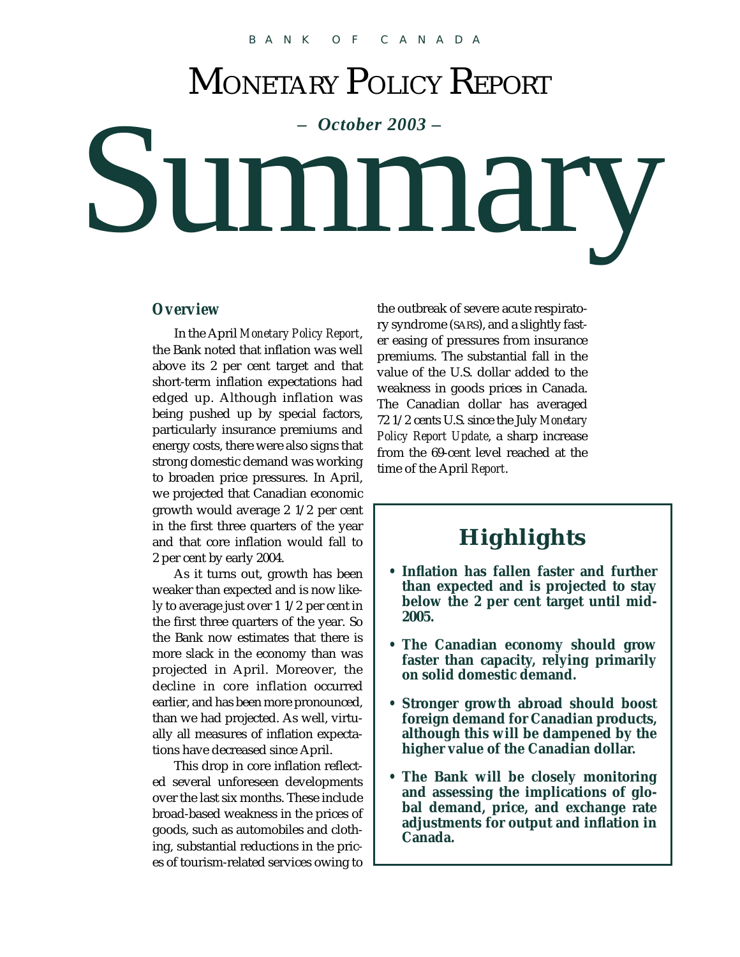# MONETARY POLICY REPORT

# Summary

#### *Overview*

In the April *Monetary Policy Report*, the Bank noted that inflation was well above its 2 per cent target and that short-term inflation expectations had edged up. Although inflation was being pushed up by special factors, particularly insurance premiums and energy costs, there were also signs that strong domestic demand was working to broaden price pressures. In April, we projected that Canadian economic growth would average 2 1/2 per cent in the first three quarters of the year and that core inflation would fall to 2 per cent by early 2004.

As it turns out, growth has been weaker than expected and is now likely to average just over 1 1/2 per cent in the first three quarters of the year. So the Bank now estimates that there is more slack in the economy than was projected in April. Moreover, the decline in core inflation occurred earlier, and has been more pronounced, than we had projected. As well, virtually all measures of inflation expectations have decreased since April.

This drop in core inflation reflected several unforeseen developments over the last six months. These include broad-based weakness in the prices of goods, such as automobiles and clothing, substantial reductions in the prices of tourism-related services owing to the outbreak of severe acute respiratory syndrome (SARS), and a slightly faster easing of pressures from insurance premiums. The substantial fall in the value of the U.S. dollar added to the weakness in goods prices in Canada. The Canadian dollar has averaged 72 1/2 cents U.S. since the July *Monetary Policy Report Update*, a sharp increase from the 69-cent level reached at the time of the April *Report*.

# **Highlights**

- **Inflation has fallen faster and further than expected and is projected to stay below the 2 per cent target until mid-2005.**
- **The Canadian economy should grow faster than capacity, relying primarily on solid domestic demand.**
- **Stronger growth abroad should boost foreign demand for Canadian products, although this will be dampened by the higher value of the Canadian dollar.**
- **The Bank will be closely monitoring and assessing the implications of global demand, price, and exchange rate adjustments for output and inflation in Canada.**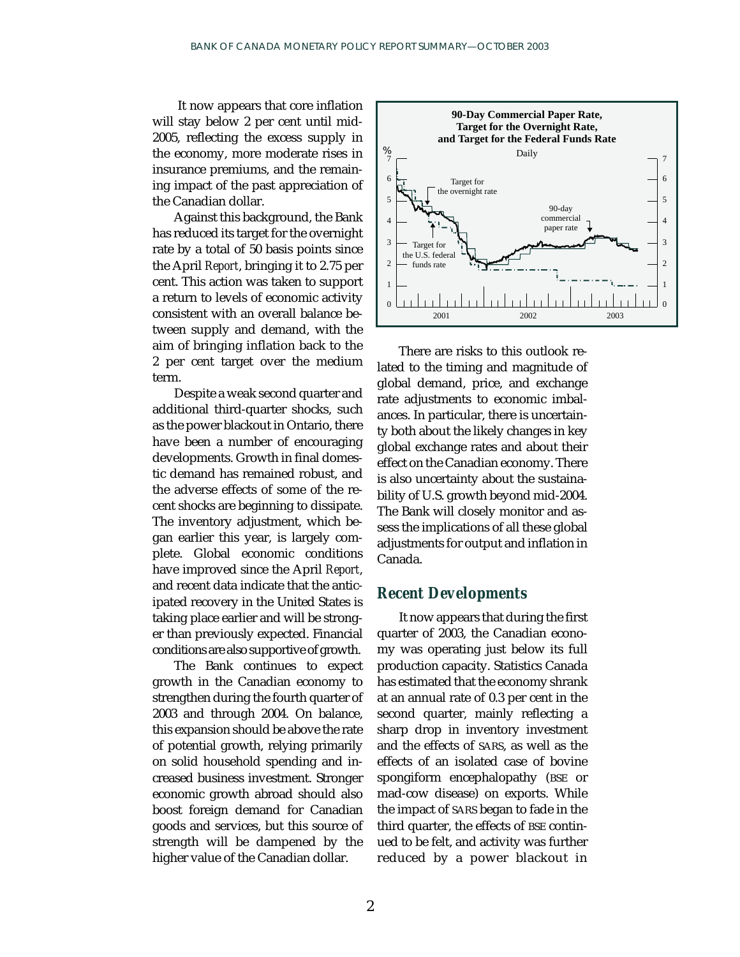It now appears that core inflation will stay below 2 per cent until mid-2005, reflecting the excess supply in the economy, more moderate rises in insurance premiums, and the remaining impact of the past appreciation of the Canadian dollar.

Against this background, the Bank has reduced its target for the overnight rate by a total of 50 basis points since the April *Report*, bringing it to 2.75 per cent. This action was taken to support a return to levels of economic activity consistent with an overall balance between supply and demand, with the aim of bringing inflation back to the 2 per cent target over the medium term.

Despite a weak second quarter and additional third-quarter shocks, such as the power blackout in Ontario, there have been a number of encouraging developments. Growth in final domestic demand has remained robust, and the adverse effects of some of the recent shocks are beginning to dissipate. The inventory adjustment, which began earlier this year, is largely complete. Global economic conditions have improved since the April *Report*, and recent data indicate that the anticipated recovery in the United States is taking place earlier and will be stronger than previously expected. Financial conditions are also supportive of growth.

The Bank continues to expect growth in the Canadian economy to strengthen during the fourth quarter of 2003 and through 2004. On balance, this expansion should be above the rate of potential growth, relying primarily on solid household spending and increased business investment. Stronger economic growth abroad should also boost foreign demand for Canadian goods and services, but this source of strength will be dampened by the higher value of the Canadian dollar.



There are risks to this outlook related to the timing and magnitude of global demand, price, and exchange rate adjustments to economic imbalances. In particular, there is uncertainty both about the likely changes in key global exchange rates and about their effect on the Canadian economy. There is also uncertainty about the sustainability of U.S. growth beyond mid-2004. The Bank will closely monitor and assess the implications of all these global adjustments for output and inflation in Canada.

### *Recent Developments*

It now appears that during the first quarter of 2003, the Canadian economy was operating just below its full production capacity. Statistics Canada has estimated that the economy shrank at an annual rate of 0.3 per cent in the second quarter, mainly reflecting a sharp drop in inventory investment and the effects of SARS, as well as the effects of an isolated case of bovine spongiform encephalopathy (BSE or mad-cow disease) on exports. While the impact of SARS began to fade in the third quarter, the effects of BSE continued to be felt, and activity was further reduced by a power blackout in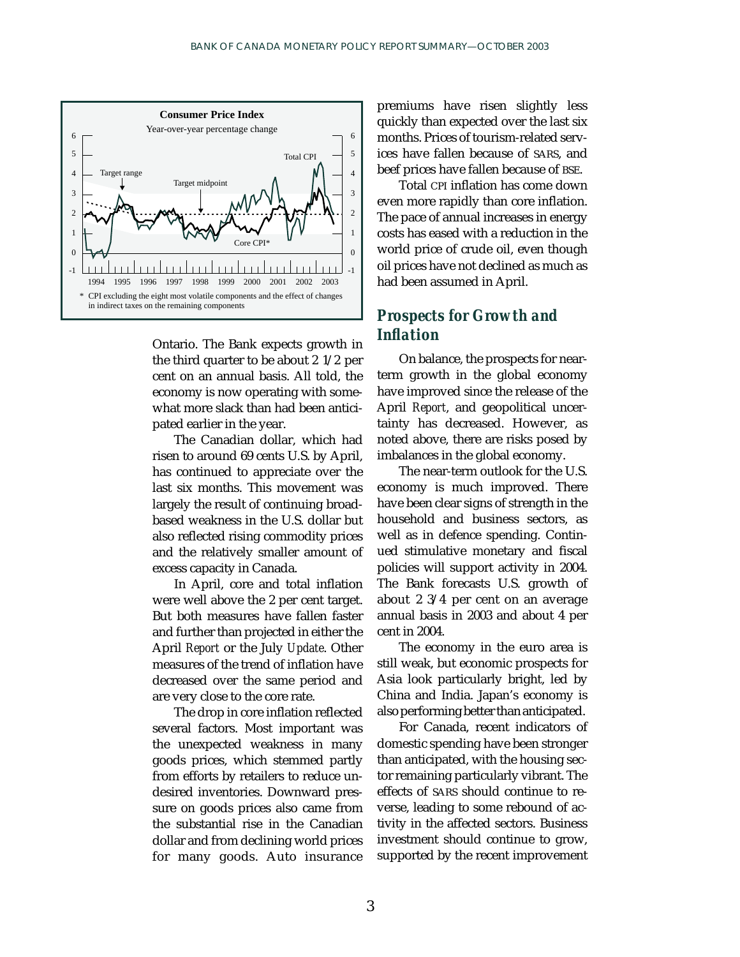

Ontario. The Bank expects growth in the third quarter to be about 2 1/2 per cent on an annual basis. All told, the economy is now operating with somewhat more slack than had been anticipated earlier in the year.

The Canadian dollar, which had risen to around 69 cents U.S. by April, has continued to appreciate over the last six months. This movement was largely the result of continuing broadbased weakness in the U.S. dollar but also reflected rising commodity prices and the relatively smaller amount of excess capacity in Canada.

In April, core and total inflation were well above the 2 per cent target. But both measures have fallen faster and further than projected in either the April *Report* or the July *Update*. Other measures of the trend of inflation have decreased over the same period and are very close to the core rate.

The drop in core inflation reflected several factors. Most important was the unexpected weakness in many goods prices, which stemmed partly from efforts by retailers to reduce undesired inventories. Downward pressure on goods prices also came from the substantial rise in the Canadian dollar and from declining world prices for many goods. Auto insurance

premiums have risen slightly less quickly than expected over the last six months. Prices of tourism-related services have fallen because of SARS, and beef prices have fallen because of BSE.

Total CPI inflation has come down even more rapidly than core inflation. The pace of annual increases in energy costs has eased with a reduction in the world price of crude oil, even though oil prices have not declined as much as had been assumed in April.

## *Prospects for Growth and Inflation*

On balance, the prospects for nearterm growth in the global economy have improved since the release of the April *Report*, and geopolitical uncertainty has decreased. However, as noted above, there are risks posed by imbalances in the global economy.

The near-term outlook for the U.S. economy is much improved. There have been clear signs of strength in the household and business sectors, as well as in defence spending. Continued stimulative monetary and fiscal policies will support activity in 2004. The Bank forecasts U.S. growth of about 2 3/4 per cent on an average annual basis in 2003 and about 4 per cent in 2004.

The economy in the euro area is still weak, but economic prospects for Asia look particularly bright, led by China and India. Japan's economy is also performing better than anticipated.

For Canada, recent indicators of domestic spending have been stronger than anticipated, with the housing sector remaining particularly vibrant. The effects of SARS should continue to reverse, leading to some rebound of activity in the affected sectors. Business investment should continue to grow, supported by the recent improvement